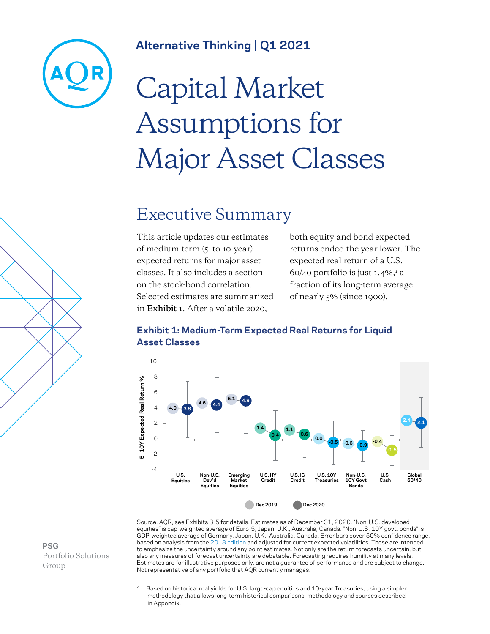

### **Alternative Thinking | Q1 2021**

# Capital Market Assumptions for Major Asset Classes

### Executive Summary

This article updates our estimates of medium-term (5- to 10-year) expected returns for major asset classes. It also includes a section on the stock-bond correlation. Selected estimates are summarized in **Exhibit 1**. After a volatile 2020,

both equity and bond expected returns ended the year lower. The expected real return of a U.S. 60/40 portfolio is just 1.4%, $^{\rm 1}$  a fraction of its long-term average of nearly 5% (since 1900).



#### **Exhibit 1: Medium-Term Expected Real Returns for Liquid Asset Classes**

Source: AQR; see Exhibits 3-5 for details. Estimates as of December 31, 2020. "Non-U.S. developed equities" is cap-weighted average of Euro-5, Japan, U.K., Australia, Canada. "Non-U.S. 10Y govt. bonds" is GDP-weighted average of Germany, Japan, U.K., Australia, Canada. Error bars cover 50% confidence range, based on analysis from the [2018 edition](https://www.aqr.com/Insights/Research/Alternative-Thinking/2018-Capital-Market-Assumptions-for-Major-Asset-Classes) and adjusted for current expected volatilities. These are intended to emphasize the uncertainty around any point estimates. Not only are the return forecasts uncertain, but also any measures of forecast uncertainty are debatable. Forecasting requires humility at many levels. Estimates are for illustrative purposes only, are not a guarantee of performance and are subject to change. Not representative of any portfolio that AQR currently manages.

1 Based on historical real yields for U.S. large-cap equities and 10-year Treasuries, using a simpler methodology that allows long-term historical comparisons; methodology and sources described in Appendix.

**PSG** Portfolio Solutions Group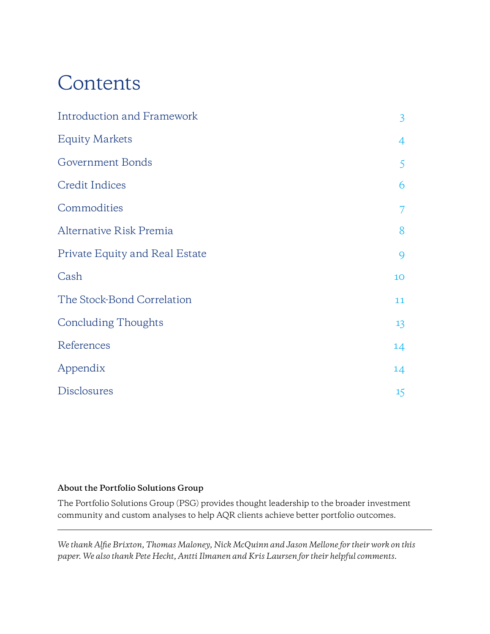# Contents

| <b>Introduction and Framework</b> | $\overline{3}$ |
|-----------------------------------|----------------|
| <b>Equity Markets</b>             | $\overline{4}$ |
| Government Bonds                  | 5              |
| <b>Credit Indices</b>             | 6              |
| Commodities                       | $\overline{7}$ |
| Alternative Risk Premia           | 8              |
| Private Equity and Real Estate    | 9              |
| Cash                              | 10             |
| The Stock-Bond Correlation        | 11             |
| <b>Concluding Thoughts</b>        | 13             |
| References                        | 14             |
| Appendix                          | 14             |
| <b>Disclosures</b>                | 15             |

#### **About the Portfolio Solutions Group**

The Portfolio Solutions Group (PSG) provides thought leadership to the broader investment community and custom analyses to help AQR clients achieve better portfolio outcomes.

*We thank Alfie Brixton, Thomas Maloney, Nick McQuinn and Jason Mellone for their work on this paper. We also thank Pete Hecht, Antti Ilmanen and Kris Laursen for their helpful comments.*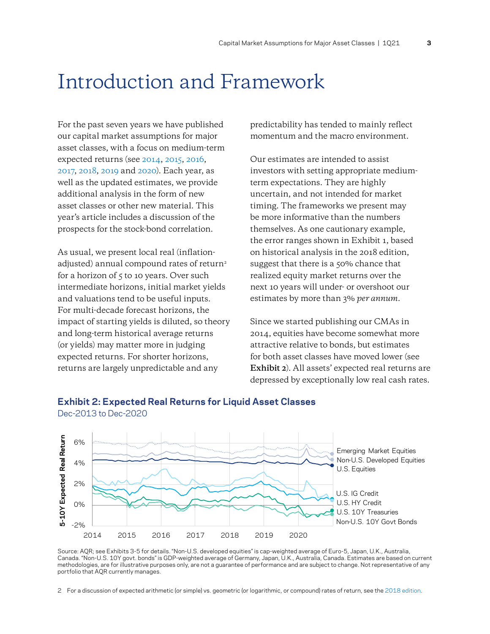### Introduction and Framework

For the past seven years we have published our capital market assumptions for major asset classes, with a focus on medium-term expected returns (see [2014,](https://www.aqr.com/Insights/Research/Alternative-Thinking/2014-Capital-Market-Assumptions-for-Major-Asset-Classes) [2015](https://www.aqr.com/Insights/Research/Alternative-Thinking/2015-Capital-Market-Assumptions-for-Major-Asset-Classes), [2016,](https://www.aqr.com/Insights/Research/Alternative-Thinking/2016-Capital-Market-Assumptions-for-Major-Asset-Classes) [2017,](https://www.aqr.com/Insights/Research/Alternative-Thinking/2017-Capital-Market-Assumptions-for-Major-Asset-Classes) [2018,](https://www.aqr.com/Insights/Research/Alternative-Thinking/2018-Capital-Market-Assumptions-for-Major-Asset-Classes) [2019](https://www.aqr.com/Insights/Research/Alternative-Thinking/2019-Capital-Market-Assumptions-for-Major-Asset-Classes) and [2020](https://www.aqr.com/Insights/Research/Alternative-Thinking/2020-Capital-Market-Assumptions-for-Major-Asset-Classes)). Each year, as well as the updated estimates, we provide additional analysis in the form of new asset classes or other new material. This year's article includes a discussion of the prospects for the stock-bond correlation.

As usual, we present local real (inflationadjusted) annual compound rates of return<sup>2</sup> for a horizon of  $5$  to 10 years. Over such intermediate horizons, initial market yields and valuations tend to be useful inputs. For multi-decade forecast horizons, the impact of starting yields is diluted, so theory and long-term historical average returns (or yields) may matter more in judging expected returns. For shorter horizons, returns are largely unpredictable and any

predictability has tended to mainly reflect momentum and the macro environment.

Our estimates are intended to assist investors with setting appropriate mediumterm expectations. They are highly uncertain, and not intended for market timing. The frameworks we present may be more informative than the numbers themselves. As one cautionary example, the error ranges shown in Exhibit 1, based on historical analysis in the 2018 edition, suggest that there is a 50% chance that realized equity market returns over the next 10 years will under- or overshoot our estimates by more than 3% *per annum*.

Since we started publishing our CMAs in 2014, equities have become somewhat more attractive relative to bonds, but estimates for both asset classes have moved lower (see **Exhibit 2**). All assets' expected real returns are depressed by exceptionally low real cash rates.



#### **Exhibit 2: Expected Real Returns for Liquid Asset Classes** Dec-2013 to Dec-2020

Source: AQR; see Exhibits 3-5 for details. "Non-U.S. developed equities" is cap-weighted average of Euro-5, Japan, U.K., Australia, Canada. "Non-U.S. 10Y govt. bonds" is GDP-weighted average of Germany, Japan, U.K., Australia, Canada. Estimates are based on current methodologies, are for illustrative purposes only, are not a guarantee of performance and are subject to change. Not representative of any portfolio that AQR currently manages.

2 For a discussion of expected arithmetic (or simple) vs. geometric (or logarithmic, or compound) rates of return, see the [2018 edition.](https://www.aqr.com/Insights/Research/Alternative-Thinking/2018-Capital-Market-Assumptions-for-Major-Asset-Classes)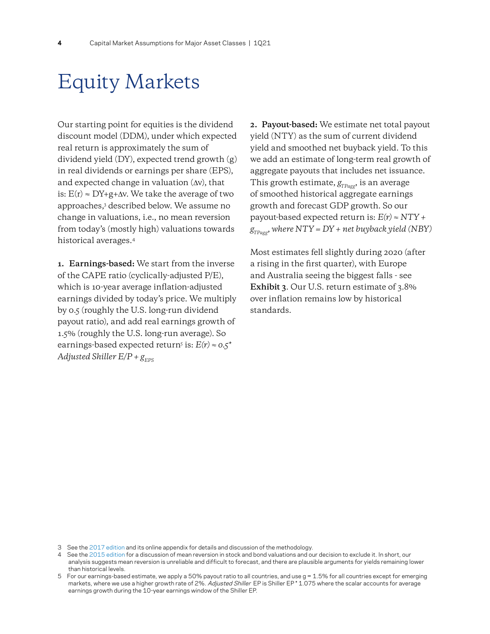### Equity Markets

Our starting point for equities is the dividend discount model (DDM), under which expected real return is approximately the sum of dividend yield (DY), expected trend growth (g) in real dividends or earnings per share (EPS), and expected change in valuation (∆v), that is:  $E(r) \approx DY + g + \Delta v$ . We take the average of two approaches,3 described below. We assume no change in valuations, i.e., no mean reversion from today's (mostly high) valuations towards historical averages.4

**1. Earnings-based:** We start from the inverse of the CAPE ratio (cyclically-adjusted P/E), which is 10-year average inflation-adjusted earnings divided by today's price. We multiply by 0.5 (roughly the U.S. long-run dividend payout ratio), and add real earnings growth of 1.5% (roughly the U.S. long-run average). So earnings-based expected return5 is: *E(r) ≈ 0.5\* Adjusted Shiller*  $E/P + g_{\text{FPS}}$ 

**2. Payout-based:** We estimate net total payout yield (NTY) as the sum of current dividend yield and smoothed net buyback yield. To this we add an estimate of long-term real growth of aggregate payouts that includes net issuance. This growth estimate,  $g_{TPage}$ , is an average of smoothed historical aggregate earnings growth and forecast GDP growth. So our payout-based expected return is: *E(r) ≈ NTY +*   $g_{T_{Pagg}}$ , where  $NTY = DY + net$  buyback yield (NBY)

Most estimates fell slightly during 2020 (after a rising in the first quarter), with Europe and Australia seeing the biggest falls - see **Exhibit 3**. Our U.S. return estimate of 3.8% over inflation remains low by historical standards.

<sup>3</sup> See the [2017 edition a](https://www.aqr.com/Insights/Research/Alternative-Thinking/2017-Capital-Market-Assumptions-for-Major-Asset-Classes)nd its online appendix for details and discussion of the methodology.

<sup>4</sup> See the [2015 edition f](https://www.aqr.com/Insights/Research/Alternative-Thinking/2015-Capital-Market-Assumptions-for-Major-Asset-Classes)or a discussion of mean reversion in stock and bond valuations and our decision to exclude it. In short, our analysis suggests mean reversion is unreliable and difficult to forecast, and there are plausible arguments for yields remaining lower than historical levels.

<sup>5</sup> For our earnings-based estimate, we apply a 50% payout ratio to all countries, and use g = 1.5% for all countries except for emerging markets, where we use a higher growth rate of 2%. Adjusted Shiller EP is Shiller EP \* 1.075 where the scalar accounts for average earnings growth during the 10-year earnings window of the Shiller EP.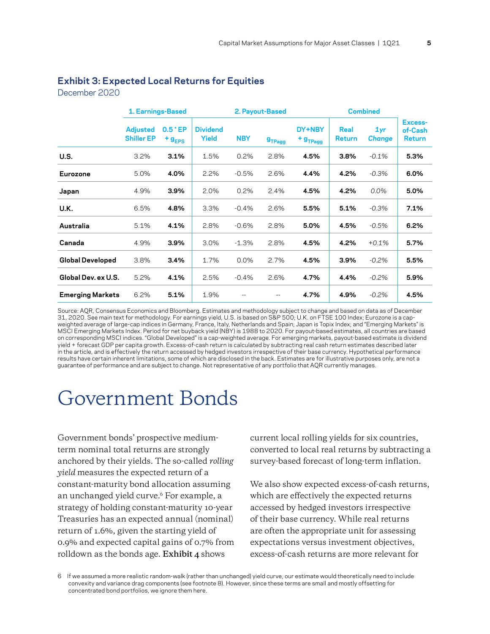#### **Exhibit 3: Expected Local Returns for Equities**

December 2020

|                         | 1. Earnings-Based                    |                             |                          | 2. Payout-Based |                    |                                    | <b>Combined</b>       |                      |                              |
|-------------------------|--------------------------------------|-----------------------------|--------------------------|-----------------|--------------------|------------------------------------|-----------------------|----------------------|------------------------------|
|                         | <b>Adjusted</b><br><b>Shiller EP</b> | $0.5$ * EP<br>$+$ $g_{EPS}$ | <b>Dividend</b><br>Yield | <b>NBY</b>      | g <sub>TPage</sub> | DY+NBY<br>$+$ $g$ <sub>TPagg</sub> | Real<br><b>Return</b> | 1yr<br><b>Change</b> | Excess-<br>of-Cash<br>Return |
| U.S.                    | 3.2%                                 | 3.1%                        | 1.5%                     | 0.2%            | 2.8%               | 4.5%                               | 3.8%                  | $-0.1%$              | 5.3%                         |
| Eurozone                | 5.0%                                 | 4.0%                        | 2.2%                     | $-0.5%$         | 2.6%               | 4.4%                               | 4.2%                  | $-0.3%$              | 6.0%                         |
| Japan                   | 4.9%                                 | 3.9%                        | 2.0%                     | 0.2%            | 2.4%               | 4.5%                               | 4.2%                  | 0.0%                 | 5.0%                         |
| U.K.                    | 6.5%                                 | 4.8%                        | 3.3%                     | $-0.4%$         | 2.6%               | 5.5%                               | 5.1%                  | $-0.3%$              | 7.1%                         |
| Australia               | 5.1%                                 | 4.1%                        | 2.8%                     | $-0.6%$         | 2.8%               | 5.0%                               | 4.5%                  | $-0.5%$              | 6.2%                         |
| Canada                  | 4.9%                                 | 3.9%                        | 3.0%                     | $-1.3%$         | 2.8%               | 4.5%                               | 4.2%                  | $+0.1%$              | 5.7%                         |
| <b>Global Developed</b> | 3.8%                                 | 3.4%                        | 1.7%                     | 0.0%            | 2.7%               | 4.5%                               | 3.9%                  | $-0.2%$              | 5.5%                         |
| Global Dev. ex U.S.     | 5.2%                                 | 4.1%                        | 2.5%                     | $-0.4%$         | 2.6%               | 4.7%                               | 4.4%                  | $-0.2%$              | 5.9%                         |
| <b>Emerging Markets</b> | 6.2%                                 | 5.1%                        | 1.9%                     | $-$             | $-$                | 4.7%                               | 4.9%                  | $-0.2%$              | 4.5%                         |

Source: AQR, Consensus Economics and Bloomberg. Estimates and methodology subject to change and based on data as of December 31, 2020. See main text for methodology. For earnings yield, U.S. is based on S&P 500; U.K. on FTSE 100 Index; Eurozone is a capweighted average of large-cap indices in Germany, France, Italy, Netherlands and Spain; Japan is Topix Index; and "Emerging Markets" is MSCI Emerging Markets Index. Period for net buyback yield (NBY) is 1988 to 2020. For payout-based estimates, all countries are based on corresponding MSCI indices. "Global Developed" is a cap-weighted average. For emerging markets, payout-based estimate is dividend yield + forecast GDP per capita growth. Excess-of-cash return is calculated by subtracting real cash return estimates described later in the article, and is effectively the return accessed by hedged investors irrespective of their base currency. Hypothetical performance results have certain inherent limitations, some of which are disclosed in the back. Estimates are for illustrative purposes only, are not a guarantee of performance and are subject to change. Not representative of any portfolio that AQR currently manages.

### Government Bonds

Government bonds' prospective mediumterm nominal total returns are strongly anchored by their yields. The so-called *rolling yield* measures the expected return of a constant-maturity bond allocation assuming an unchanged yield curve.<sup>6</sup> For example, a strategy of holding constant-maturity 10-year Treasuries has an expected annual (nominal) return of 1.6%, given the starting yield of 0.9% and expected capital gains of 0.7% from rolldown as the bonds age. **Exhibit 4** shows

current local rolling yields for six countries, converted to local real returns by subtracting a survey-based forecast of long-term inflation.

We also show expected excess-of-cash returns, which are effectively the expected returns accessed by hedged investors irrespective of their base currency. While real returns are often the appropriate unit for assessing expectations versus investment objectives, excess-of-cash returns are more relevant for

6 If we assumed a more realistic random-walk (rather than unchanged) yield curve, our estimate would theoretically need to include convexity and variance drag components (see footnote 8). However, since these terms are small and mostly offsetting for concentrated bond portfolios, we ignore them here.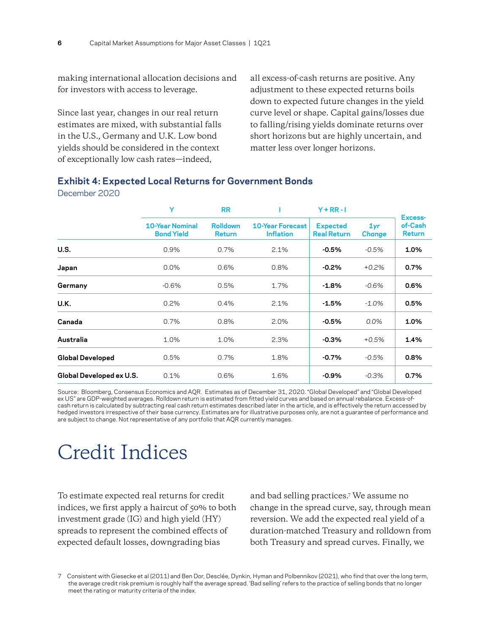making international allocation decisions and for investors with access to leverage.

Since last year, changes in our real return estimates are mixed, with substantial falls in the U.S., Germany and U.K. Low bond yields should be considered in the context of exceptionally low cash rates—indeed,

all excess-of-cash returns are positive. Any adjustment to these expected returns boils down to expected future changes in the yield curve level or shape. Capital gains/losses due to falling/rising yields dominate returns over short horizons but are highly uncertain, and matter less over longer horizons.

#### **Exhibit 4: Expected Local Returns for Government Bonds**

#### December 2020

|                          | Y                                           | <b>RR</b>                        |                                             | $Y + RR - I$                          |                      | Excess-                  |
|--------------------------|---------------------------------------------|----------------------------------|---------------------------------------------|---------------------------------------|----------------------|--------------------------|
|                          | <b>10-Year Nominal</b><br><b>Bond Yield</b> | <b>Rolldown</b><br><b>Return</b> | <b>10-Year Forecast</b><br><b>Inflation</b> | <b>Expected</b><br><b>Real Return</b> | 1yr<br><b>Change</b> | of-Cash<br><b>Return</b> |
| U.S.                     | 0.9%                                        | 0.7%                             | 2.1%                                        | $-0.5%$                               | $-0.5%$              | 1.0%                     |
| Japan                    | 0.0%                                        | 0.6%                             | 0.8%                                        | $-0.2%$                               | $+0.2%$              | 0.7%                     |
| Germany                  | $-0.6%$                                     | 0.5%                             | 1.7%                                        | $-1.8%$                               | $-0.6%$              | 0.6%                     |
| U.K.                     | 0.2%                                        | 0.4%                             | 2.1%                                        | $-1.5%$                               | $-1.0%$              | 0.5%                     |
| Canada                   | 0.7%                                        | 0.8%                             | 2.0%                                        | $-0.5%$                               | $0.0\%$              | 1.0%                     |
| Australia                | 1.0%                                        | 1.0%                             | 2.3%                                        | $-0.3%$                               | $+0.5%$              | 1.4%                     |
| <b>Global Developed</b>  | 0.5%                                        | 0.7%                             | 1.8%                                        | $-0.7%$                               | $-0.5%$              | 0.8%                     |
| Global Developed ex U.S. | 0.1%                                        | 0.6%                             | 1.6%                                        | $-0.9\%$                              | $-0.3%$              | 0.7%                     |

Source: Bloomberg, Consensus Economics and AQR. Estimates as of December 31, 2020. "Global Developed" and "Global Developed ex US" are GDP-weighted averages. Rolldown return is estimated from fitted yield curves and based on annual rebalance. Excess-ofcash return is calculated by subtracting real cash return estimates described later in the article, and is effectively the return accessed by hedged investors irrespective of their base currency. Estimates are for illustrative purposes only, are not a guarantee of performance and are subject to change. Not representative of any portfolio that AQR currently manages.

### Credit Indices

To estimate expected real returns for credit indices, we first apply a haircut of 50% to both investment grade (IG) and high yield (HY) spreads to represent the combined effects of expected default losses, downgrading bias

and bad selling practices.7 We assume no change in the spread curve, say, through mean reversion. We add the expected real yield of a duration-matched Treasury and rolldown from both Treasury and spread curves. Finally, we

7 Consistent with Giesecke et al (2011) and Ben Dor, Desclée, Dynkin, Hyman and Polbennikov (2021), who find that over the long term, the average credit risk premium is roughly half the average spread. 'Bad selling' refers to the practice of selling bonds that no longer meet the rating or maturity criteria of the index.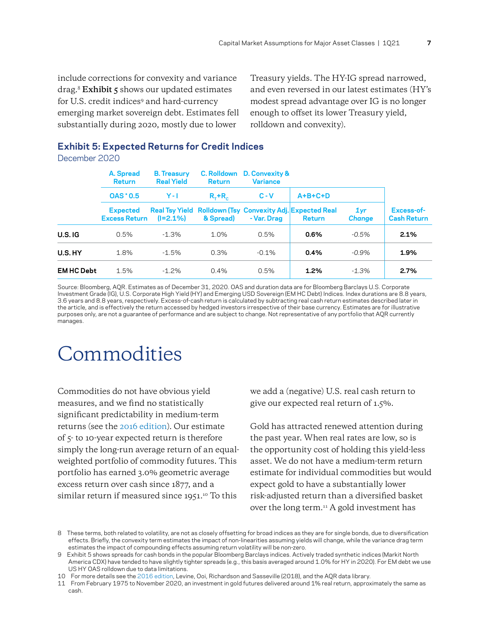include corrections for convexity and variance drag.8 **Exhibit 5** shows our updated estimates for U.S. credit indices<sup>9</sup> and hard-currency emerging market sovereign debt. Estimates fell substantially during 2020, mostly due to lower

Treasury yields. The HY-IG spread narrowed, and even reversed in our latest estimates (HY's modest spread advantage over IG is no longer enough to offset its lower Treasury yield, rolldown and convexity).

#### **Exhibit 5: Expected Returns for Credit Indices**

December 2020

|                  | A. Spread<br><b>Return</b>              | <b>B.</b> Treasury<br><b>Real Yield</b> |                         | C. Rolldown D. Convexity &<br><b>Variance</b><br><b>Return</b> |                                                                                   |                                  |                                  |  |  |
|------------------|-----------------------------------------|-----------------------------------------|-------------------------|----------------------------------------------------------------|-----------------------------------------------------------------------------------|----------------------------------|----------------------------------|--|--|
|                  | <b>OAS * 0.5</b>                        | $Y - I$                                 | $R_{\tau}$ + $R_{\tau}$ | $C - V$                                                        | $A+B+C+D$                                                                         |                                  |                                  |  |  |
|                  | <b>Expected</b><br><b>Excess Return</b> | $(I=2.1\%)$                             | & Spread)               | - Var. Drag                                                    | <b>Real Tsy Yield Rolldown (Tsy Convexity Adj. Expected Real</b><br><b>Return</b> | 1 <sub>yr</sub><br><b>Change</b> | Excess-of-<br><b>Cash Return</b> |  |  |
| U.S. IG          | 0.5%                                    | $-1.3%$                                 | 1.0%                    | 0.5%                                                           | 0.6%                                                                              | $-0.5%$                          | 2.1%                             |  |  |
| U.S.HY           | 1.8%                                    | $-1.5%$                                 | 0.3%                    | $-0.1%$                                                        | 0.4%                                                                              | $-0.9%$                          | 1.9%                             |  |  |
| <b>EMHC Debt</b> | 1.5%                                    | $-1.2\%$                                | 0.4%                    | 0.5%                                                           | 1.2%                                                                              | $-1.3%$                          | 2.7%                             |  |  |

Source: Bloomberg, AQR. Estimates as of December 31, 2020. OAS and duration data are for Bloomberg Barclays U.S. Corporate Investment Grade (IG), U.S. Corporate High Yield (HY) and Emerging USD Sovereign (EM HC Debt) Indices. Index durations are 8.8 years, 3.6 years and 8.8 years, respectively. Excess-of-cash return is calculated by subtracting real cash return estimates described later in the article, and is effectively the return accessed by hedged investors irrespective of their base currency. Estimates are for illustrative purposes only, are not a guarantee of performance and are subject to change. Not representative of any portfolio that AQR currently manages.

## Commodities

Commodities do not have obvious yield measures, and we find no statistically significant predictability in medium-term returns (see the [2016 edition](https://www.aqr.com/Insights/Research/Alternative-Thinking/2016-Capital-Market-Assumptions-for-Major-Asset-Classes)). Our estimate of 5- to 10-year expected return is therefore simply the long-run average return of an equalweighted portfolio of commodity futures. This portfolio has earned 3.0% geometric average excess return over cash since 1877, and a similar return if measured since 1951.<sup>10</sup> To this

we add a (negative) U.S. real cash return to give our expected real return of 1.5%.

Gold has attracted renewed attention during the past year. When real rates are low, so is the opportunity cost of holding this yield-less asset. We do not have a medium-term return estimate for individual commodities but would expect gold to have a substantially lower risk-adjusted return than a diversified basket over the long term.11 A gold investment has

<sup>8</sup> These terms, both related to volatility, are not as closely offsetting for broad indices as they are for single bonds, due to diversification effects. Briefly, the convexity term estimates the impact of non-linearities assuming yields will change, while the variance drag term estimates the impact of compounding effects assuming return volatility will be non-zero.

<sup>9</sup> Exhibit 5 shows spreads for cash bonds in the popular Bloomberg Barclays indices. Actively traded synthetic indices (Markit North America CDX) have tended to have slightly tighter spreads (e.g., this basis averaged around 1.0% for HY in 2020). For EM debt we use US HY OAS rolldown due to data limitations.

<sup>10</sup> For more details see the [2016 edition](https://www.aqr.com/Insights/Research/Alternative-Thinking/2016-Capital-Market-Assumptions-for-Major-Asset-Classes), Levine, Ooi, Richardson and Sasseville (2018), and the AQR data library.

<sup>11</sup> From February 1975 to November 2020, an investment in gold futures delivered around 1% real return, approximately the same as cash.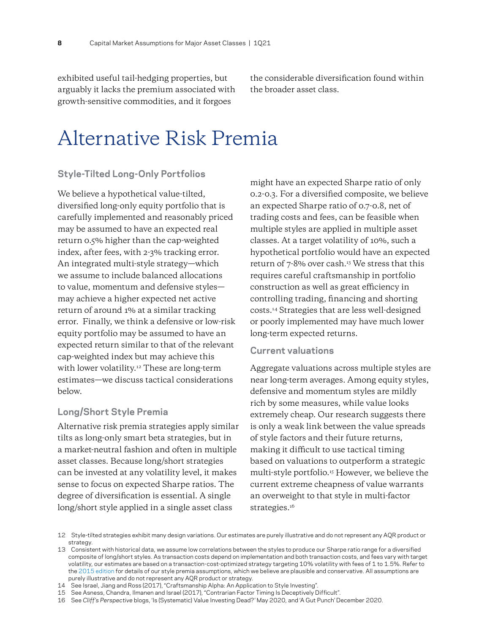exhibited useful tail-hedging properties, but arguably it lacks the premium associated with growth-sensitive commodities, and it forgoes

the considerable diversification found within the broader asset class.

### Alternative Risk Premia

#### **Style-Tilted Long-Only Portfolios**

We believe a hypothetical value-tilted, diversified long-only equity portfolio that is carefully implemented and reasonably priced may be assumed to have an expected real return 0.5% higher than the cap-weighted index, after fees, with 2-3% tracking error. An integrated multi-style strategy—which we assume to include balanced allocations to value, momentum and defensive styles may achieve a higher expected net active return of around 1% at a similar tracking error. Finally, we think a defensive or low-risk equity portfolio may be assumed to have an expected return similar to that of the relevant cap-weighted index but may achieve this with lower volatility.<sup>12</sup> These are long-term estimates—we discuss tactical considerations below.

#### **Long/Short Style Premia**

Alternative risk premia strategies apply similar tilts as long-only smart beta strategies, but in a market-neutral fashion and often in multiple asset classes. Because long/short strategies can be invested at any volatility level, it makes sense to focus on expected Sharpe ratios. The degree of diversification is essential. A single long/short style applied in a single asset class

might have an expected Sharpe ratio of only 0.2-0.3. For a diversified composite, we believe an expected Sharpe ratio of 0.7-0.8, net of trading costs and fees, can be feasible when multiple styles are applied in multiple asset classes. At a target volatility of 10%, such a hypothetical portfolio would have an expected return of  $7-8%$  over cash.<sup>13</sup> We stress that this requires careful craftsmanship in portfolio construction as well as great efficiency in controlling trading, financing and shorting costs.14 Strategies that are less well-designed or poorly implemented may have much lower long-term expected returns.

#### **Current valuations**

Aggregate valuations across multiple styles are near long-term averages. Among equity styles, defensive and momentum styles are mildly rich by some measures, while value looks extremely cheap. Our research suggests there is only a weak link between the value spreads of style factors and their future returns, making it difficult to use tactical timing based on valuations to outperform a strategic multi-style portfolio.15 However, we believe the current extreme cheapness of value warrants an overweight to that style in multi-factor strategies.<sup>16</sup>

<sup>12</sup> Style-tilted strategies exhibit many design variations. Our estimates are purely illustrative and do not represent any AQR product or strategy.

<sup>13</sup> Consistent with historical data, we assume low correlations between the styles to produce our Sharpe ratio range for a diversified composite of long/short styles. As transaction costs depend on implementation and both transaction costs, and fees vary with target volatility, our estimates are based on a transaction-cost-optimized strategy targeting 10% volatility with fees of 1 to 1.5%. Refer to the [2015 edition f](https://www.aqr.com/Insights/Research/Alternative-Thinking/2015-Capital-Market-Assumptions-for-Major-Asset-Classes)or details of our style premia assumptions, which we believe are plausible and conservative. All assumptions are purely illustrative and do not represent any AQR product or strategy.

<sup>14</sup> See Israel, Jiang and Ross (2017), "Craftsmanship Alpha: An Application to Style Investing".

<sup>15</sup> See Asness, Chandra, Ilmanen and Israel (2017), "Contrarian Factor Timing Is Deceptively Difficult".

<sup>16</sup> See *Cliff's Perspective* blogs, 'Is (Systematic) Value Investing Dead?' May 2020, and 'A Gut Punch' December 2020.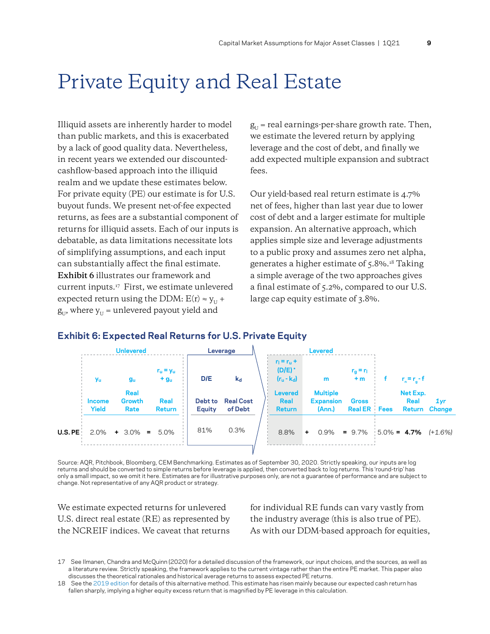### Private Equity and Real Estate

Illiquid assets are inherently harder to model than public markets, and this is exacerbated by a lack of good quality data. Nevertheless, in recent years we extended our discountedcashflow-based approach into the illiquid realm and we update these estimates below. For private equity (PE) our estimate is for U.S. buyout funds. We present net-of-fee expected returns, as fees are a substantial component of returns for illiquid assets. Each of our inputs is debatable, as data limitations necessitate lots of simplifying assumptions, and each input can substantially affect the final estimate. **Exhibit 6** illustrates our framework and current inputs.17 First, we estimate unlevered expected return using the DDM:  $E(r) \approx y_{U} +$  $g_{\text{II}}$ , where  $y_{\text{II}}$  = unlevered payout yield and

 $g_{U}$  = real earnings-per-share growth rate. Then, we estimate the levered return by applying leverage and the cost of debt, and finally we add expected multiple expansion and subtract fees.

Our yield-based real return estimate is 4.7% net of fees, higher than last year due to lower cost of debt and a larger estimate for multiple expansion. An alternative approach, which applies simple size and leverage adjustments to a public proxy and assumes zero net alpha, generates a higher estimate of 5.8%.18 Taking a simple average of the two approaches gives a final estimate of 5.2%, compared to our U.S. large cap equity estimate of 3.8%.

#### **Exhibit 6: Expected Real Returns for U.S. Private Equity**

|           | <b>Unlevered</b><br>Leverage |                        |                     | <b>Levered</b>           |                             |  |                                                        |     |                                               |                                     |                            |               |
|-----------|------------------------------|------------------------|---------------------|--------------------------|-----------------------------|--|--------------------------------------------------------|-----|-----------------------------------------------|-------------------------------------|----------------------------|---------------|
|           | <b>Yu</b>                    | gu                     | $r_u = y_u$<br>$+g$ | D/E                      | $k_d$                       |  | $r_1 = r_0 +$<br>$(D/E)$ <sup>*</sup><br>$(r_u - k_d)$ |     | m                                             | $r_g = r_1$<br>$+m$                 | $r_n = r_n - f$            |               |
|           | Income<br><b>Yield</b>       | Real<br>Growth<br>Rate | Real<br>Return      | Debt to<br><b>Equity</b> | <b>Real Cost</b><br>of Debt |  | <b>Levered</b><br>Real<br><b>Return</b>                |     | <b>Multiple</b><br><b>Expansion</b><br>(Ann.) | <b>Gross</b><br><b>Real ER</b> Fees | Net Exp.<br>Real<br>Return | 1yr<br>Change |
| U.S. PE : |                              | $2.0\%$ + 3.0% = 5.0%  |                     | 81%                      | 0.3%                        |  | 8.8%                                                   | $+$ | 0.9%                                          | $= 9.7\%$ 5.0% = 4.7%               |                            | (+1.6%)       |
|           |                              |                        |                     |                          |                             |  |                                                        |     |                                               |                                     |                            |               |

Source: AQR, Pitchbook, Bloomberg, CEM Benchmarking. Estimates as of September 30, 2020. Strictly speaking, our inputs are log returns and should be converted to simple returns before leverage is applied, then converted back to log returns. This 'round-trip' has only a small impact, so we omit it here. Estimates are for illustrative purposes only, are not a guarantee of performance and are subject to change. Not representative of any AQR product or strategy.

We estimate expected returns for unlevered U.S. direct real estate (RE) as represented by the NCREIF indices. We caveat that returns

for individual RE funds can vary vastly from the industry average (this is also true of PE). As with our DDM-based approach for equities,

<sup>17</sup> See Ilmanen, Chandra and McQuinn (2020) for a detailed discussion of the framework, our input choices, and the sources, as well as a literature review. Strictly speaking, the framework applies to the current vintage rather than the entire PE market. This paper also discusses the theoretical rationales and historical average returns to assess expected PE returns.

<sup>18</sup> See the [2019 edition f](https://www.aqr.com/Insights/Research/Alternative-Thinking/2019-Capital-Market-Assumptions-for-Major-Asset-Classes)or details of this alternative method. This estimate has risen mainly because our expected cash return has fallen sharply, implying a higher equity excess return that is magnified by PE leverage in this calculation.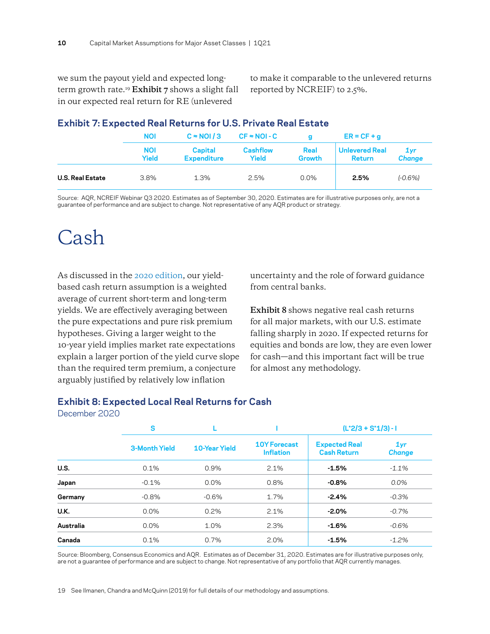we sum the payout yield and expected longterm growth rate.19 **Exhibit 7** shows a slight fall in our expected real return for RE (unlevered

to make it comparable to the unlevered returns reported by NCREIF) to 2.5%.

|                         | <b>NOI</b>          | $C \approx NQ1/3$<br>$CF = NOI - C$<br>a |                          | $ER = CF + q$  |                                        |                         |
|-------------------------|---------------------|------------------------------------------|--------------------------|----------------|----------------------------------------|-------------------------|
|                         | <b>NOI</b><br>Yield | Capital<br><b>Expenditure</b>            | <b>Cashflow</b><br>Yield | Real<br>Growth | <b>Unlevered Real</b><br><b>Return</b> | $1$ yr<br><b>Change</b> |
| <b>U.S. Real Estate</b> | 3.8%                | 1.3%                                     | 2.5%                     | $0.0\%$        | 2.5%                                   | $(-0.6%)$               |

#### **Exhibit 7: Expected Real Returns for U.S. Private Real Estate**

Source: AQR, NCREIF Webinar Q3 2020. Estimates as of September 30, 2020. Estimates are for illustrative purposes only, are not a guarantee of performance and are subject to change. Not representative of any AQR product or strategy.

### Cash

As discussed in the [2020 edition](https://www.aqr.com/Insights/Research/Alternative-Thinking/2020-Capital-Market-Assumptions-for-Major-Asset-Classes), our yieldbased cash return assumption is a weighted average of current short-term and long-term yields. We are effectively averaging between the pure expectations and pure risk premium hypotheses. Giving a larger weight to the 10-year yield implies market rate expectations explain a larger portion of the yield curve slope than the required term premium, a conjecture arguably justified by relatively low inflation

uncertainty and the role of forward guidance from central banks.

**Exhibit 8** shows negative real cash returns for all major markets, with our U.S. estimate falling sharply in 2020. If expected returns for equities and bonds are low, they are even lower for cash—and this important fact will be true for almost any methodology.

#### **Exhibit 8: Expected Local Real Returns for Cash**

|  |  | December 2020 |
|--|--|---------------|
|  |  |               |

|           | S                    |               |                                         | $(L^*2/3 + S^*1/3) - I$                    |                      |  |
|-----------|----------------------|---------------|-----------------------------------------|--------------------------------------------|----------------------|--|
|           | <b>3-Month Yield</b> | 10-Year Yield | <b>10Y Forecast</b><br><b>Inflation</b> | <b>Expected Real</b><br><b>Cash Return</b> | 1yr<br><b>Change</b> |  |
| U.S.      | 0.1%                 | 0.9%          | 2.1%                                    | $-1.5%$                                    | $-1.1%$              |  |
| Japan     | $-0.1%$              | 0.0%          | 0.8%                                    | $-0.8%$                                    | $0.0\%$              |  |
| Germany   | $-0.8%$              | $-0.6%$       | 1.7%                                    | $-2.4%$                                    | $-0.3%$              |  |
| U.K.      | 0.0%                 | 0.2%          | 2.1%                                    | $-2.0\%$                                   | $-0.7%$              |  |
| Australia | 0.0%                 | 1.0%          | 2.3%                                    | $-1.6%$                                    | $-0.6%$              |  |
| Canada    | 0.1%                 | 0.7%          | 2.0%                                    | $-1.5%$                                    | $-1.2\%$             |  |

Source: Bloomberg, Consensus Economics and AQR. Estimates as of December 31, 2020. Estimates are for illustrative purposes only, are not a guarantee of performance and are subject to change. Not representative of any portfolio that AQR currently manages.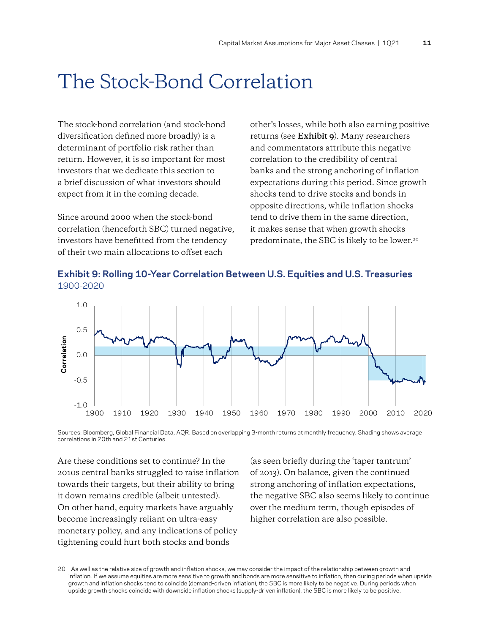### The Stock-Bond Correlation

The stock-bond correlation (and stock-bond diversification defined more broadly) is a determinant of portfolio risk rather than return. However, it is so important for most investors that we dedicate this section to a brief discussion of what investors should expect from it in the coming decade.

Since around 2000 when the stock-bond correlation (henceforth SBC) turned negative, investors have benefitted from the tendency of their two main allocations to offset each

other's losses, while both also earning positive returns (see **Exhibit 9**). Many researchers and commentators attribute this negative correlation to the credibility of central banks and the strong anchoring of inflation expectations during this period. Since growth shocks tend to drive stocks and bonds in opposite directions, while inflation shocks tend to drive them in the same direction, it makes sense that when growth shocks predominate, the SBC is likely to be lower.<sup>20</sup>





Sources: Bloomberg, Global Financial Data, AQR. Based on overlapping 3-month returns at monthly frequency. Shading shows average correlations in 20th and 21st Centuries.

Are these conditions set to continue? In the 2010s central banks struggled to raise inflation towards their targets, but their ability to bring it down remains credible (albeit untested). On other hand, equity markets have arguably become increasingly reliant on ultra-easy monetary policy, and any indications of policy tightening could hurt both stocks and bonds

(as seen briefly during the 'taper tantrum' of 2013). On balance, given the continued strong anchoring of inflation expectations, the negative SBC also seems likely to continue over the medium term, though episodes of higher correlation are also possible.

20 As well as the relative size of growth and inflation shocks, we may consider the impact of the relationship between growth and inflation. If we assume equities are more sensitive to growth and bonds are more sensitive to inflation, then during periods when upside growth and inflation shocks tend to coincide (demand-driven inflation), the SBC is more likely to be negative. During periods when upside growth shocks coincide with downside inflation shocks (supply-driven inflation), the SBC is more likely to be positive.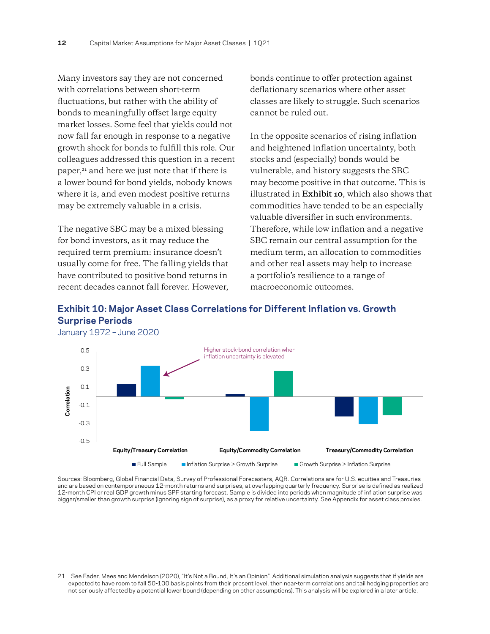Many investors say they are not concerned with correlations between short-term fluctuations, but rather with the ability of bonds to meaningfully offset large equity market losses. Some feel that yields could not now fall far enough in response to a negative growth shock for bonds to fulfill this role. Our colleagues addressed this question in a recent paper,21 and here we just note that if there is a lower bound for bond yields, nobody knows where it is, and even modest positive returns may be extremely valuable in a crisis.

The negative SBC may be a mixed blessing for bond investors, as it may reduce the required term premium: insurance doesn't usually come for free. The falling yields that have contributed to positive bond returns in recent decades cannot fall forever. However,

bonds continue to offer protection against deflationary scenarios where other asset classes are likely to struggle. Such scenarios cannot be ruled out.

In the opposite scenarios of rising inflation and heightened inflation uncertainty, both stocks and (especially) bonds would be vulnerable, and history suggests the SBC may become positive in that outcome. This is illustrated in **Exhibit 10**, which also shows that commodities have tended to be an especially valuable diversifier in such environments. Therefore, while low inflation and a negative SBC remain our central assumption for the medium term, an allocation to commodities and other real assets may help to increase a portfolio's resilience to a range of macroeconomic outcomes.

#### **Exhibit 10: Major Asset Class Correlations for Different Inflation vs. Growth Surprise Periods**



Sources: Bloomberg, Global Financial Data, Survey of Professional Forecasters, AQR. Correlations are for U.S. equities and Treasuries and are based on contemporaneous 12-month returns and surprises, at overlapping quarterly frequency. Surprise is defined as realized 12-month CPI or real GDP growth minus SPF starting forecast. Sample is divided into periods when magnitude of inflation surprise was bigger/smaller than growth surprise (ignoring sign of surprise), as a proxy for relative uncertainty. See Appendix for asset class proxies.

21 See Fader, Mees and Mendelson (2020), "It's Not a Bound, It's an Opinion". Additional simulation analysis suggests that if yields are expected to have room to fall 50-100 basis points from their present level, then near-term correlations and tail hedging properties are not seriously affected by a potential lower bound (depending on other assumptions). This analysis will be explored in a later article.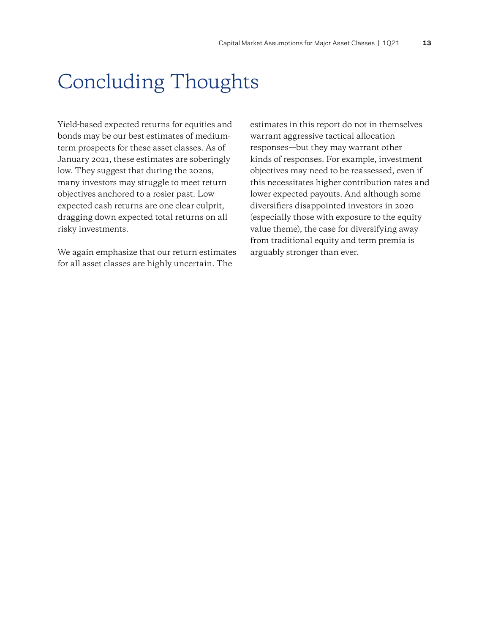## Concluding Thoughts

Yield-based expected returns for equities and bonds may be our best estimates of mediumterm prospects for these asset classes. As of January 2021, these estimates are soberingly low. They suggest that during the 2020s, many investors may struggle to meet return objectives anchored to a rosier past. Low expected cash returns are one clear culprit, dragging down expected total returns on all risky investments.

We again emphasize that our return estimates for all asset classes are highly uncertain. The

estimates in this report do not in themselves warrant aggressive tactical allocation responses—but they may warrant other kinds of responses. For example, investment objectives may need to be reassessed, even if this necessitates higher contribution rates and lower expected payouts. And although some diversifiers disappointed investors in 2020 (especially those with exposure to the equity value theme), the case for diversifying away from traditional equity and term premia is arguably stronger than ever.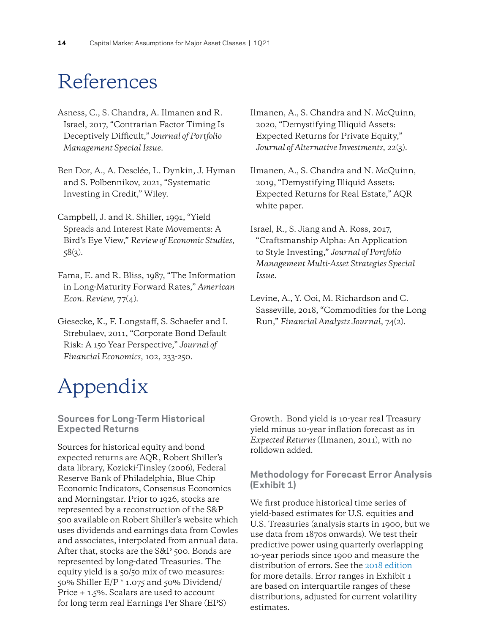### References

- Asness, C., S. Chandra, A. Ilmanen and R. Israel, 2017, "Contrarian Factor Timing Is Deceptively Difficult," *Journal of Portfolio Management Special Issue*.
- Ben Dor, A., A. Desclée, L. Dynkin, J. Hyman and S. Polbennikov, 2021, "Systematic Investing in Credit," Wiley.
- Campbell, J. and R. Shiller, 1991, "Yield Spreads and Interest Rate Movements: A Bird's Eye View," *Review of Economic Studies*,  $58(3)$ .
- Fama, E. and R. Bliss, 1987, "The Information in Long-Maturity Forward Rates," *American Econ. Review*, 77(4).
- Giesecke, K., F. Longstaff, S. Schaefer and I. Strebulaev, 2011, "Corporate Bond Default Risk: A 150 Year Perspective," *Journal of Financial Economics*, 102, 233-250.

# Appendix

#### **Sources for Long-Term Historical Expected Returns**

Sources for historical equity and bond expected returns are AQR, Robert Shiller's data library, Kozicki-Tinsley (2006), Federal Reserve Bank of Philadelphia, Blue Chip Economic Indicators, Consensus Economics and Morningstar. Prior to 1926, stocks are represented by a reconstruction of the S&P 500 available on Robert Shiller's website which uses dividends and earnings data from Cowles and associates, interpolated from annual data. After that, stocks are the S&P 500. Bonds are represented by long-dated Treasuries. The equity yield is a 50/50 mix of two measures: 50% Shiller E/P \* 1.075 and 50% Dividend/ Price + 1.5%. Scalars are used to account for long term real Earnings Per Share (EPS)

Ilmanen, A., S. Chandra and N. McQuinn, 2020, "Demystifying Illiquid Assets: Expected Returns for Private Equity," *Journal of Alternative Investments*, 22(3).

Ilmanen, A., S. Chandra and N. McQuinn, 2019, "Demystifying Illiquid Assets: Expected Returns for Real Estate," AQR white paper.

Israel, R., S. Jiang and A. Ross, 2017, "Craftsmanship Alpha: An Application to Style Investing," *Journal of Portfolio Management Multi-Asset Strategies Special Issue.* 

Levine, A., Y. Ooi, M. Richardson and C. Sasseville, 2018, "Commodities for the Long Run," *Financial Analysts Journal*, 74(2).

Growth. Bond yield is 10-year real Treasury yield minus 10-year inflation forecast as in *Expected Returns* (Ilmanen, 2011), with no rolldown added.

#### **Methodology for Forecast Error Analysis (Exhibit 1)**

We first produce historical time series of yield-based estimates for U.S. equities and U.S. Treasuries (analysis starts in 1900, but we use data from 1870s onwards). We test their predictive power using quarterly overlapping 10-year periods since 1900 and measure the distribution of errors. See the [2018 edition](https://www.aqr.com/Insights/Research/Alternative-Thinking/2018-Capital-Market-Assumptions-for-Major-Asset-Classes) for more details. Error ranges in Exhibit 1 are based on interquartile ranges of these distributions, adjusted for current volatility estimates.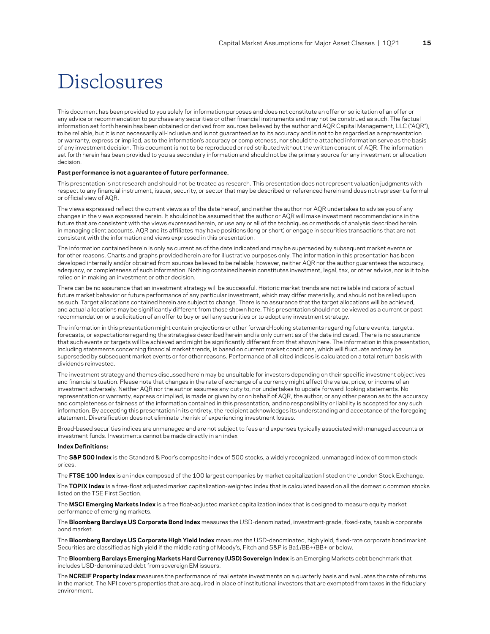### Disclosures

This document has been provided to you solely for information purposes and does not constitute an offer or solicitation of an offer or any advice or recommendation to purchase any securities or other financial instruments and may not be construed as such. The factual information set forth herein has been obtained or derived from sources believed by the author and AQR Capital Management, LLC ("AQR"), to be reliable, but it is not necessarily all-inclusive and is not guaranteed as to its accuracy and is not to be regarded as a representation or warranty, express or implied, as to the information's accuracy or completeness, nor should the attached information serve as the basis of any investment decision. This document is not to be reproduced or redistributed without the written consent of AQR. The information set forth herein has been provided to you as secondary information and should not be the primary source for any investment or allocation decision.

#### **Past performance is not a guarantee of future performance.**

This presentation is not research and should not be treated as research. This presentation does not represent valuation judgments with respect to any financial instrument, issuer, security, or sector that may be described or referenced herein and does not represent a formal or official view of AQR.

The views expressed reflect the current views as of the date hereof, and neither the author nor AQR undertakes to advise you of any changes in the views expressed herein. It should not be assumed that the author or AQR will make investment recommendations in the future that are consistent with the views expressed herein, or use any or all of the techniques or methods of analysis described herein in managing client accounts. AQR and its affiliates may have positions (long or short) or engage in securities transactions that are not consistent with the information and views expressed in this presentation.

The information contained herein is only as current as of the date indicated and may be superseded by subsequent market events or for other reasons. Charts and graphs provided herein are for illustrative purposes only. The information in this presentation has been developed internally and/or obtained from sources believed to be reliable; however, neither AQR nor the author guarantees the accuracy, adequacy, or completeness of such information. Nothing contained herein constitutes investment, legal, tax, or other advice, nor is it to be relied on in making an investment or other decision.

There can be no assurance that an investment strategy will be successful. Historic market trends are not reliable indicators of actual future market behavior or future performance of any particular investment, which may differ materially, and should not be relied upon as such. Target allocations contained herein are subject to change. There is no assurance that the target allocations will be achieved, and actual allocations may be significantly different from those shown here. This presentation should not be viewed as a current or past recommendation or a solicitation of an offer to buy or sell any securities or to adopt any investment strategy.

The information in this presentation might contain projections or other forward-looking statements regarding future events, targets, forecasts, or expectations regarding the strategies described herein and is only current as of the date indicated. There is no assurance that such events or targets will be achieved and might be significantly different from that shown here. The information in this presentation, including statements concerning financial market trends, is based on current market conditions, which will fluctuate and may be superseded by subsequent market events or for other reasons. Performance of all cited indices is calculated on a total return basis with dividends reinvested.

The investment strategy and themes discussed herein may be unsuitable for investors depending on their specific investment objectives and financial situation. Please note that changes in the rate of exchange of a currency might affect the value, price, or income of an investment adversely. Neither AQR nor the author assumes any duty to, nor undertakes to update forward-looking statements. No representation or warranty, express or implied, is made or given by or on behalf of AQR, the author, or any other person as to the accuracy and completeness or fairness of the information contained in this presentation, and no responsibility or liability is accepted for any such information. By accepting this presentation in its entirety, the recipient acknowledges its understanding and acceptance of the foregoing statement. Diversification does not eliminate the risk of experiencing investment losses.

Broad-based securities indices are unmanaged and are not subject to fees and expenses typically associated with managed accounts or investment funds. Investments cannot be made directly in an index

#### **Index Definitions:**

The **S&P 500 Index** is the Standard & Poor's composite index of 500 stocks, a widely recognized, unmanaged index of common stock prices.

The **FTSE 100 Index** is an index composed of the 100 largest companies by market capitalization listed on the London Stock Exchange.

The **TOPIX Index** is a free-float adjusted market capitalization-weighted index that is calculated based on all the domestic common stocks listed on the TSE First Section.

The **MSCI Emerging Markets Index** is a free float-adjusted market capitalization index that is designed to measure equity market performance of emerging markets.

The **Bloomberg Barclays US Corporate Bond Index** measures the USD-denominated, investment-grade, fixed-rate, taxable corporate bond market.

The **Bloomberg Barclays US Corporate High Yield Index** measures the USD-denominated, high yield, fixed-rate corporate bond market. Securities are classified as high yield if the middle rating of Moody's, Fitch and S&P is Ba1/BB+/BB+ or below.

The **Bloomberg Barclays Emerging Markets Hard Currency (USD) Sovereign Index** is an Emerging Markets debt benchmark that includes USD-denominated debt from sovereign EM issuers.

The **NCREIF Property Index** measures the performance of real estate investments on a quarterly basis and evaluates the rate of returns in the market. The NPI covers properties that are acquired in place of institutional investors that are exempted from taxes in the fiduciary environment.